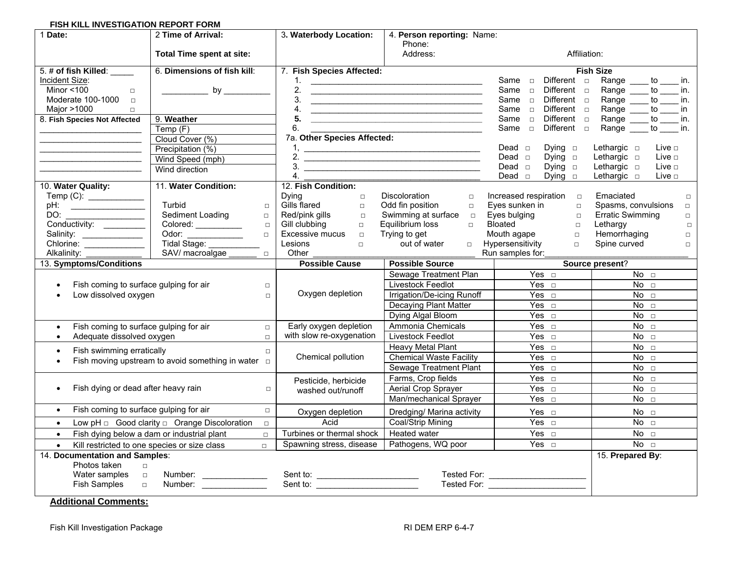#### **FISH KILL INVESTIGATION REPORT FORM**

| 1 Date:                                                                                                     | 2 Time of Arrival:                                                   | 3. Waterbody Location:<br>4. Person reporting: Name: |                                                                                                                      |                                                                                                                                                                     |  |  |  |
|-------------------------------------------------------------------------------------------------------------|----------------------------------------------------------------------|------------------------------------------------------|----------------------------------------------------------------------------------------------------------------------|---------------------------------------------------------------------------------------------------------------------------------------------------------------------|--|--|--|
|                                                                                                             |                                                                      |                                                      | Phone:                                                                                                               |                                                                                                                                                                     |  |  |  |
|                                                                                                             | Total Time spent at site:                                            | Address:                                             |                                                                                                                      | Affiliation:                                                                                                                                                        |  |  |  |
| 5. # of fish Killed:                                                                                        | 6. Dimensions of fish kill:                                          | 7. Fish Species Affected:                            |                                                                                                                      | <b>Fish Size</b>                                                                                                                                                    |  |  |  |
| Incident Size:                                                                                              |                                                                      | 1.                                                   | <u> Alexandro de la contrada de la contrada de la contrada de la contrada de la contrada de la contrada de la co</u> | Same <b>D</b><br>Different $\Box$<br>Range _____ to _____ in.                                                                                                       |  |  |  |
| Minor $<$ 100<br>$\Box$                                                                                     |                                                                      | 2.                                                   | <u> Alexandria de la contrada de la contrada de la contrada de la contrada de la contrada de la contrada de la c</u> | Different <b>D</b><br>Same <b>D</b><br>Range<br>to in.                                                                                                              |  |  |  |
| Moderate 100-1000 $\Box$                                                                                    |                                                                      | 3.                                                   | <u> Alexandria de la contrada de la contrada de la contrada de la contrada de la contrada de la contrada de la c</u> | Same <b>D</b><br>Different $\Box$<br>Range<br>$\mathsf{to}$ in.                                                                                                     |  |  |  |
| Major >1000<br>$\Box$                                                                                       |                                                                      | 4.                                                   | <u> Alexandria de la contrada de la contrada de la contrada de la contrada de la contrada de la contrada de la c</u> | Same <b>D</b><br>Different <b>D</b><br>Range<br>$\overline{\phantom{a}}$ to $\overline{\phantom{a}}$<br>in                                                          |  |  |  |
| 8. Fish Species Not Affected                                                                                | 9. Weather<br>Temp(F)                                                | 6.                                                   |                                                                                                                      | Different <b>D</b><br>$\overline{\phantom{a}}$ to $\overline{\phantom{a}}$<br>Same <b>D</b><br>Range<br>in.<br>Different <b>D</b><br>Range<br>Same $\Box$<br>to in. |  |  |  |
|                                                                                                             | Cloud Cover (%)                                                      | 7a. Other Species Affected:                          | <u> 1980 - Johann Barbara, martxa alemaniar a</u>                                                                    |                                                                                                                                                                     |  |  |  |
|                                                                                                             | Precipitation (%)                                                    | 1.                                                   |                                                                                                                      | Live <b>D</b><br>Dead $\Box$<br>Dying $\Box$<br>Lethargic $\square$                                                                                                 |  |  |  |
|                                                                                                             |                                                                      |                                                      | $\frac{1}{2}$ .                                                                                                      | Lethargic $\square$<br>Live $\square$<br>Dead $\Box$<br>Dying $\Box$                                                                                                |  |  |  |
|                                                                                                             | Wind Speed (mph)<br>Wind direction                                   |                                                      |                                                                                                                      | Dead $\Box$<br>Lethargic <b>D</b><br>Live <b>D</b><br>Dying $\Box$                                                                                                  |  |  |  |
|                                                                                                             |                                                                      | 4.                                                   |                                                                                                                      | Dead $\Box$<br>Live <b>D</b><br>Dying $\Box$<br>Lethargic $\Box$                                                                                                    |  |  |  |
| 10. Water Quality:                                                                                          | 11. Water Condition:                                                 | 12. Fish Condition:                                  |                                                                                                                      |                                                                                                                                                                     |  |  |  |
|                                                                                                             |                                                                      | Dying<br>$\Box$                                      | Discoloration<br>$\Box$                                                                                              | Increased respiration $\Box$<br>Emaciated<br>$\Box$                                                                                                                 |  |  |  |
|                                                                                                             | Turbid<br>$\Box$                                                     | Gills flared<br>$\Box$                               | Odd fin position<br>$\Box$                                                                                           | Eyes sunken in<br>Spasms, convulsions<br>$\Box$<br>$\Box$                                                                                                           |  |  |  |
|                                                                                                             | Sediment Loading<br>$\Box$                                           | Red/pink gills<br>$\Box$                             | Swimming at surface<br>$\Box$                                                                                        | Eyes bulging<br><b>Erratic Swimming</b><br>$\Box$<br>$\Box$                                                                                                         |  |  |  |
| Conductivity:                                                                                               | Colored: ___________<br>$\Box$                                       | Gill clubbing<br>$\Box$                              | Equilibrium loss<br>$\Box$                                                                                           | Bloated<br>Lethargy<br>$\Box$<br>$\Box$                                                                                                                             |  |  |  |
| Salinity:                                                                                                   | Odor:<br>Tidal Stage: ________<br>$\Box$                             | <b>Excessive mucus</b><br>$\Box$                     | Trying to get                                                                                                        | Hemorrhaging<br>Mouth agape<br>$\Box$<br>$\Box$                                                                                                                     |  |  |  |
|                                                                                                             |                                                                      | Lesions<br>$\Box$                                    | out of water<br>$\Box$                                                                                               | Hypersensitivity<br>$\Box$<br>Spine curved<br>$\Box$                                                                                                                |  |  |  |
| Alkalinity:                                                                                                 | SAV/ macroalgae ______<br>$\Box$                                     | Other                                                |                                                                                                                      | Run samples for:                                                                                                                                                    |  |  |  |
| 13. Symptoms/Conditions                                                                                     |                                                                      | <b>Possible Cause</b>                                | <b>Possible Source</b>                                                                                               | Source present?                                                                                                                                                     |  |  |  |
|                                                                                                             |                                                                      |                                                      | Sewage Treatment Plan                                                                                                | Yes $\Box$<br>$\overline{N}$ o $\Box$                                                                                                                               |  |  |  |
| Fish coming to surface gulping for air<br>$\bullet$                                                         | $\Box$                                                               |                                                      | Livestock Feedlot                                                                                                    | Yes $\Box$<br>$\overline{N}$ o $\Box$                                                                                                                               |  |  |  |
| Low dissolved oxygen                                                                                        | $\Box$                                                               | Oxygen depletion                                     | Irrigation/De-icing Runoff                                                                                           | Yes $\Box$<br>No <sub>2</sub>                                                                                                                                       |  |  |  |
|                                                                                                             |                                                                      |                                                      | <b>Decaying Plant Matter</b>                                                                                         | Yes $\Box$<br>No <sub>1</sub>                                                                                                                                       |  |  |  |
|                                                                                                             |                                                                      |                                                      | Dying Algal Bloom                                                                                                    | Yes $\Box$<br>No <sub>1</sub>                                                                                                                                       |  |  |  |
| Fish coming to surface gulping for air<br>$\bullet$                                                         | $\Box$                                                               | Early oxygen depletion<br>Ammonia Chemicals          |                                                                                                                      | $\overline{Yes}$ $\Box$<br>No <sub>2</sub>                                                                                                                          |  |  |  |
| Adequate dissolved oxygen                                                                                   | $\Box$                                                               | with slow re-oxygenation                             | Livestock Feedlot                                                                                                    | Yes $\Box$<br>No <sub>1</sub>                                                                                                                                       |  |  |  |
| Fish swimming erratically<br>$\Box$<br>$\bullet$<br>Fish moving upstream to avoid something in water $\Box$ |                                                                      |                                                      | Heavy Metal Plant                                                                                                    | Yes $\Box$<br>No <sub>2</sub>                                                                                                                                       |  |  |  |
|                                                                                                             |                                                                      | Chemical pollution                                   | <b>Chemical Waste Facility</b>                                                                                       | Yes $\Box$<br>No <sub>2</sub>                                                                                                                                       |  |  |  |
|                                                                                                             |                                                                      |                                                      | Sewage Treatment Plant                                                                                               | Yes $\Box$<br>No <sub>1</sub>                                                                                                                                       |  |  |  |
|                                                                                                             |                                                                      | Pesticide, herbicide                                 | Farms, Crop fields                                                                                                   | Yes $\Box$<br>No <sub>1</sub>                                                                                                                                       |  |  |  |
| Fish dying or dead after heavy rain<br>$\Box$                                                               |                                                                      | washed out/runoff                                    | Aerial Crop Sprayer                                                                                                  | Yes $\square$<br>No <sub>1</sub>                                                                                                                                    |  |  |  |
|                                                                                                             |                                                                      |                                                      | Man/mechanical Sprayer                                                                                               | Yes $\Box$<br>No <sub>2</sub>                                                                                                                                       |  |  |  |
| $\bullet$                                                                                                   | Fish coming to surface gulping for air<br>$\Box$<br>Oxygen depletion |                                                      | Dredging/ Marina activity                                                                                            | Yes $\Box$<br>No <sub>2</sub>                                                                                                                                       |  |  |  |
| $\bullet$                                                                                                   | $\Box$                                                               | Acid                                                 | Coal/Strip Mining                                                                                                    | Yes $\Box$<br>No <sub>1</sub>                                                                                                                                       |  |  |  |
| $\bullet$                                                                                                   | Fish dying below a dam or industrial plant<br>$\Box$                 | Turbines or thermal shock                            | <b>Heated water</b>                                                                                                  | Yes $\Box$<br>No <sub>2</sub>                                                                                                                                       |  |  |  |
|                                                                                                             | Kill restricted to one species or size class<br>$\Box$               | Spawning stress, disease                             | Pathogens, WQ poor                                                                                                   | $Yes \square$<br>$\overline{N}$ o $\Box$                                                                                                                            |  |  |  |
| 14. Documentation and Samples:                                                                              |                                                                      |                                                      |                                                                                                                      | 15. Prepared By:                                                                                                                                                    |  |  |  |
|                                                                                                             |                                                                      |                                                      |                                                                                                                      |                                                                                                                                                                     |  |  |  |
| Photos taken<br>$\Box$                                                                                      |                                                                      |                                                      |                                                                                                                      |                                                                                                                                                                     |  |  |  |
| Water samples<br>$\Box$<br>Fish Samples                                                                     |                                                                      |                                                      |                                                                                                                      | Tested For: ____________________<br>Tested For:                                                                                                                     |  |  |  |

**Additional Comments:**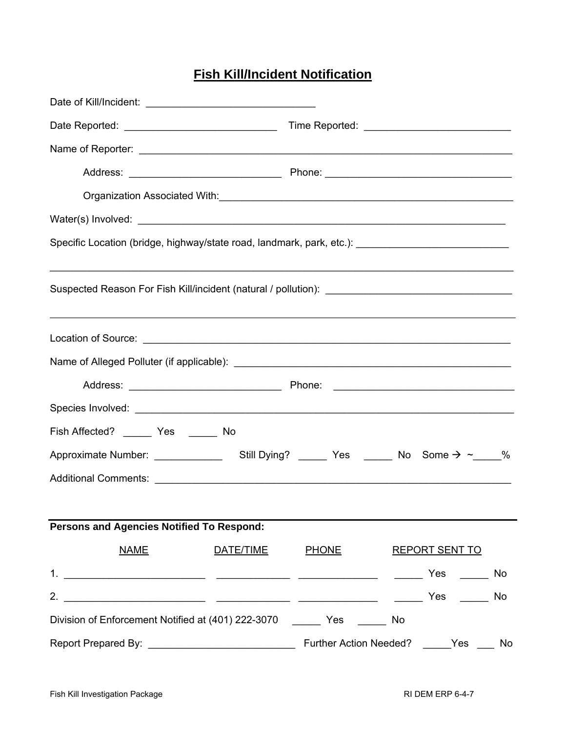# **Fish Kill/Incident Notification**

|                                                                                                     |  | Organization Associated With:<br><u> Communication Associated With:</u> |
|-----------------------------------------------------------------------------------------------------|--|-------------------------------------------------------------------------|
|                                                                                                     |  |                                                                         |
| Specific Location (bridge, highway/state road, landmark, park, etc.): _____________________________ |  |                                                                         |
|                                                                                                     |  |                                                                         |
|                                                                                                     |  |                                                                         |
|                                                                                                     |  |                                                                         |
|                                                                                                     |  |                                                                         |
|                                                                                                     |  |                                                                         |
| Fish Affected? ________ Yes _______ No                                                              |  |                                                                         |
|                                                                                                     |  |                                                                         |
|                                                                                                     |  |                                                                         |
|                                                                                                     |  |                                                                         |
| Persons and Agencies Notified To Respond:                                                           |  |                                                                         |
| <b>NAME</b>                                                                                         |  | DATE/TIME PHONE REPORT SENT TO                                          |
|                                                                                                     |  |                                                                         |
|                                                                                                     |  |                                                                         |
| Division of Enforcement Notified at (401) 222-3070 ________ Yes _______ No                          |  |                                                                         |
|                                                                                                     |  |                                                                         |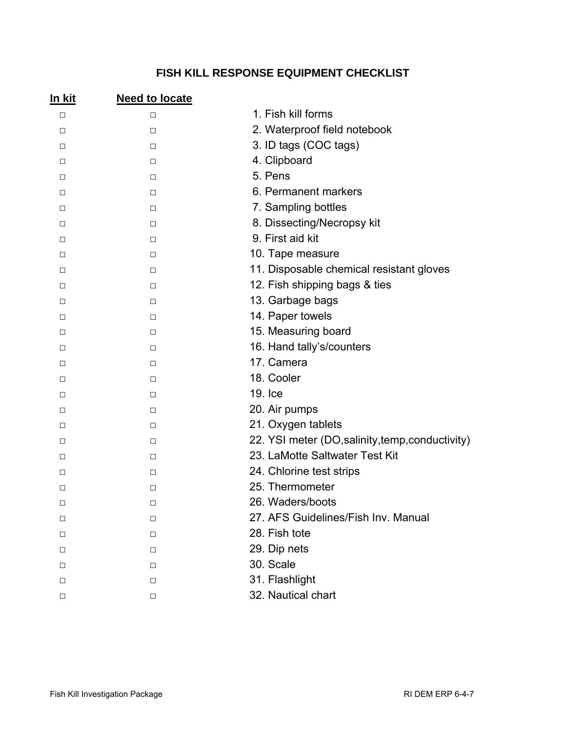## **FISH KILL RESPONSE EQUIPMENT CHECKLIST**

| <u>In kit</u> | <b>Need to locate</b> |                                                  |
|---------------|-----------------------|--------------------------------------------------|
| $\Box$        | $\Box$                | 1. Fish kill forms                               |
| $\Box$        | $\Box$                | 2. Waterproof field notebook                     |
| $\Box$        | $\Box$                | 3. ID tags (COC tags)                            |
| $\Box$        | $\Box$                | 4. Clipboard                                     |
| $\Box$        | $\Box$                | 5. Pens                                          |
| □             | $\Box$                | 6. Permanent markers                             |
| $\Box$        | $\Box$                | 7. Sampling bottles                              |
| $\Box$        | $\Box$                | 8. Dissecting/Necropsy kit                       |
| $\Box$        | $\Box$                | 9. First aid kit                                 |
| $\Box$        | $\Box$                | 10. Tape measure                                 |
| $\Box$        | $\Box$                | 11. Disposable chemical resistant gloves         |
| $\Box$        | $\Box$                | 12. Fish shipping bags & ties                    |
| $\Box$        | $\Box$                | 13. Garbage bags                                 |
| $\Box$        | $\Box$                | 14. Paper towels                                 |
| $\Box$        | $\Box$                | 15. Measuring board                              |
| $\Box$        | $\Box$                | 16. Hand tally's/counters                        |
| $\Box$        | $\Box$                | 17. Camera                                       |
| $\Box$        | $\Box$                | 18. Cooler                                       |
| $\Box$        | $\Box$                | 19. Ice                                          |
| □             | $\Box$                | 20. Air pumps                                    |
| $\Box$        | $\Box$                | 21. Oxygen tablets                               |
| $\Box$        | $\Box$                | 22. YSI meter (DO, salinity, temp, conductivity) |
| $\Box$        | $\Box$                | 23. LaMotte Saltwater Test Kit                   |
| □             | $\Box$                | 24. Chlorine test strips                         |
| $\Box$        | $\Box$                | 25. Thermometer                                  |
| $\Box$        | □                     | 26. Waders/boots                                 |
| □             | $\Box$                | 27. AFS Guidelines/Fish Inv. Manual              |
| □             | $\Box$                | 28. Fish tote                                    |
| □             | $\Box$                | 29. Dip nets                                     |
| □             | □                     | 30. Scale                                        |
| □             | $\Box$                | 31. Flashlight                                   |
| □             | □                     | 32. Nautical chart                               |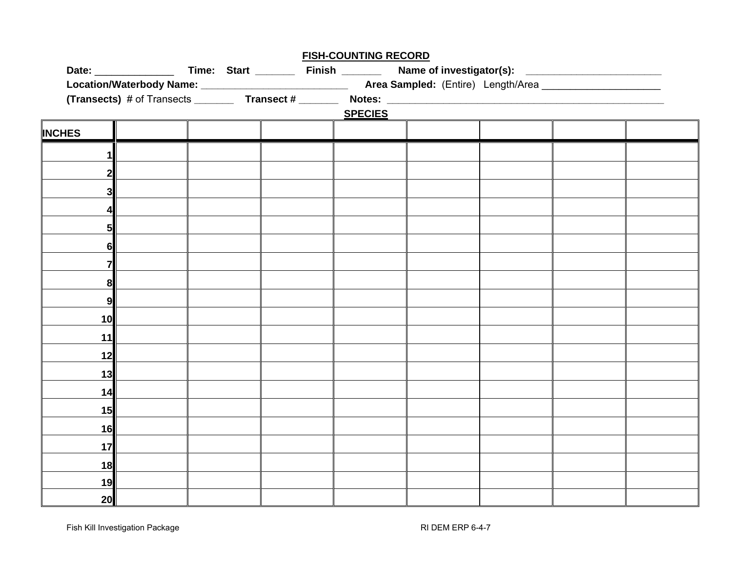|               |  |                                                                                                                | <b>FISH-COUNTING RECORD</b> |  |  |  |  |
|---------------|--|----------------------------------------------------------------------------------------------------------------|-----------------------------|--|--|--|--|
|               |  | Date: ___________________Time: Start __________Finish ___________Name of investigator(s): ____________________ |                             |  |  |  |  |
|               |  |                                                                                                                |                             |  |  |  |  |
|               |  | (Transects) # of Transects ___________ Transect # ___________ Notes: _______________________________           |                             |  |  |  |  |
|               |  |                                                                                                                | <b>SPECIES</b>              |  |  |  |  |
| <b>INCHES</b> |  |                                                                                                                |                             |  |  |  |  |
|               |  |                                                                                                                |                             |  |  |  |  |
| $\mathbf{1}$  |  |                                                                                                                |                             |  |  |  |  |
|               |  |                                                                                                                |                             |  |  |  |  |
| 31            |  |                                                                                                                |                             |  |  |  |  |
|               |  |                                                                                                                |                             |  |  |  |  |
|               |  |                                                                                                                |                             |  |  |  |  |
| 5             |  |                                                                                                                |                             |  |  |  |  |
| 61            |  |                                                                                                                |                             |  |  |  |  |
|               |  |                                                                                                                |                             |  |  |  |  |
| 8             |  |                                                                                                                |                             |  |  |  |  |
| 9             |  |                                                                                                                |                             |  |  |  |  |
| 10            |  |                                                                                                                |                             |  |  |  |  |
| 11            |  |                                                                                                                |                             |  |  |  |  |
| 12            |  |                                                                                                                |                             |  |  |  |  |
| 13            |  |                                                                                                                |                             |  |  |  |  |
|               |  |                                                                                                                |                             |  |  |  |  |
| 14            |  |                                                                                                                |                             |  |  |  |  |
| 15            |  |                                                                                                                |                             |  |  |  |  |
| 16            |  |                                                                                                                |                             |  |  |  |  |
| 17            |  |                                                                                                                |                             |  |  |  |  |
| 18            |  |                                                                                                                |                             |  |  |  |  |
| 19            |  |                                                                                                                |                             |  |  |  |  |
| 20            |  |                                                                                                                |                             |  |  |  |  |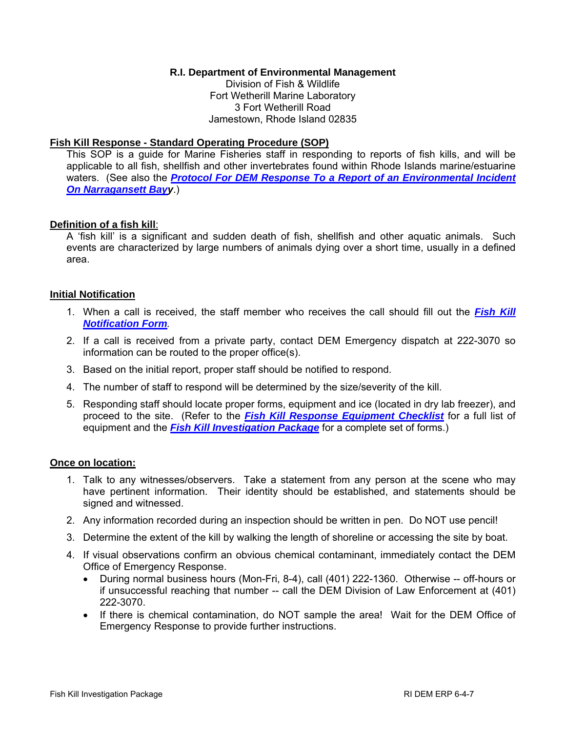### **R.I. Department of Environmental Management**

Division of Fish & Wildlife Fort Wetherill Marine Laboratory 3 Fort Wetherill Road Jamestown, Rhode Island 02835

#### **Fish Kill Response - Standard Operating Procedure (SOP)**

This SOP is a guide for Marine Fisheries staff in responding to reports of fish kills, and will be applicable to all fish, shellfish and other invertebrates found within Rhode Islands marine/estuarine waters. (See also the *[Protocol For DEM Response To a Report of an Environmental Incident](http://www.dem.ri.gov/topics/erp/6_3_1.pdf)  On Narragansett Bayy*.)

### **Definition of a fish kill**:

A 'fish kill' is a significant and sudden death of fish, shellfish and other aquatic animals. Such events are characterized by large numbers of animals dying over a short time, usually in a defined area.

### **Initial Notification**

- 1. When a call is received, the staff member who receives the call should fill out the *[Fish Kill](http://www.dem.ri.gov/topics/erp/6_4_2.pdf)  Notification Form.*
- 2. If a call is received from a private party, contact DEM Emergency dispatch at 222-3070 so information can be routed to the proper office(s).
- 3. Based on the initial report, proper staff should be notified to respond.
- 4. The number of staff to respond will be determined by the size/severity of the kill.
- 5. Responding staff should locate proper forms, equipment and ice (located in dry lab freezer), and proceed to the site. (Refer to the *[Fish Kill Response Equipment Checklist](http://www.dem.ri.gov/topics/erp/6_4_3.pdf)* for a full list of equipment and the *[Fish Kill Investigation Package](http://www.dem.ri.gov/topics/erp/6_4_7.pdf)* for a complete set of forms.)

#### **Once on location:**

- 1. Talk to any witnesses/observers. Take a statement from any person at the scene who may have pertinent information. Their identity should be established, and statements should be signed and witnessed.
- 2. Any information recorded during an inspection should be written in pen. Do NOT use pencil!
- 3. Determine the extent of the kill by walking the length of shoreline or accessing the site by boat.
- 4. If visual observations confirm an obvious chemical contaminant, immediately contact the DEM Office of Emergency Response.
	- During normal business hours (Mon-Fri, 8-4), call (401) 222-1360. Otherwise -- off-hours or if unsuccessful reaching that number -- call the DEM Division of Law Enforcement at (401) 222-3070.
	- If there is chemical contamination, do NOT sample the area! Wait for the DEM Office of Emergency Response to provide further instructions.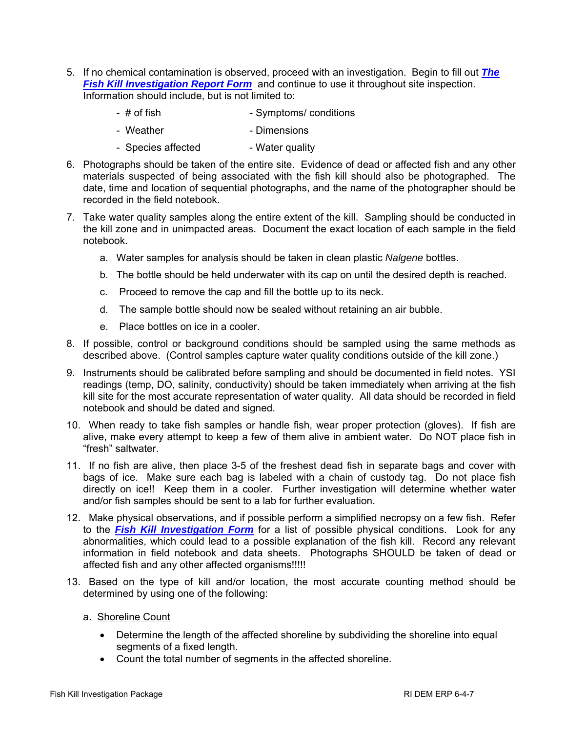- 5. If no chemical contamination is observed, proceed with an investigation. Begin to fill out *The [Fish Kill Investigation Report Form](http://www.dem.ri.gov/topics/erp/6_4_6.pdf)* and continue to use it throughout site inspection. Information should include, but is not limited to:
	- # of fish  $-$  Symptoms/ conditions
	- Weather  **Dimensions**
	- Species affected Water quality
- 6. Photographs should be taken of the entire site. Evidence of dead or affected fish and any other materials suspected of being associated with the fish kill should also be photographed. The date, time and location of sequential photographs, and the name of the photographer should be recorded in the field notebook.
- 7. Take water quality samples along the entire extent of the kill. Sampling should be conducted in the kill zone and in unimpacted areas. Document the exact location of each sample in the field notebook.
	- a. Water samples for analysis should be taken in clean plastic *Nalgene* bottles.
	- b. The bottle should be held underwater with its cap on until the desired depth is reached.
	- c. Proceed to remove the cap and fill the bottle up to its neck.
	- d. The sample bottle should now be sealed without retaining an air bubble.
	- e. Place bottles on ice in a cooler.
- 8. If possible, control or background conditions should be sampled using the same methods as described above. (Control samples capture water quality conditions outside of the kill zone.)
- 9. Instruments should be calibrated before sampling and should be documented in field notes. YSI readings (temp, DO, salinity, conductivity) should be taken immediately when arriving at the fish kill site for the most accurate representation of water quality. All data should be recorded in field notebook and should be dated and signed.
- 10. When ready to take fish samples or handle fish, wear proper protection (gloves). If fish are alive, make every attempt to keep a few of them alive in ambient water. Do NOT place fish in "fresh" saltwater.
- 11. If no fish are alive, then place 3-5 of the freshest dead fish in separate bags and cover with bags of ice. Make sure each bag is labeled with a chain of custody tag. Do not place fish directly on ice!! Keep them in a cooler. Further investigation will determine whether water and/or fish samples should be sent to a lab for further evaluation.
- 12. Make physical observations, and if possible perform a simplified necropsy on a few fish. Refer to the *[Fish Kill Investigation Form](http://www.dem.ri.gov/topics/erp/6_4_6.pdf)* for a list of possible physical conditions. Look for any abnormalities, which could lead to a possible explanation of the fish kill. Record any relevant information in field notebook and data sheets. Photographs SHOULD be taken of dead or affected fish and any other affected organisms!!!!!
- 13. Based on the type of kill and/or location, the most accurate counting method should be determined by using one of the following:
	- a. Shoreline Count
		- Determine the length of the affected shoreline by subdividing the shoreline into equal segments of a fixed length.
		- Count the total number of segments in the affected shoreline.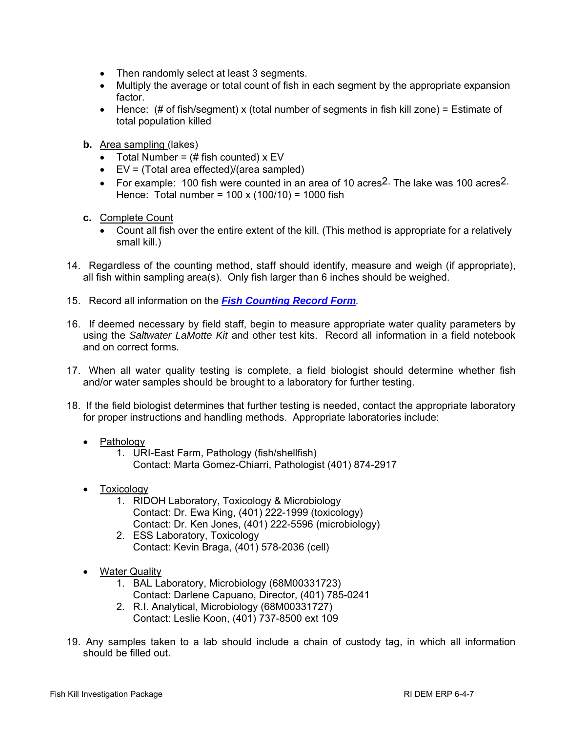- Then randomly select at least 3 segments.
- Multiply the average or total count of fish in each segment by the appropriate expansion factor.
- Hence:  $(\# \text{ of fish/segment}) \times (\text{total number of segments in fish kill zone}) = Estimate of$ total population killed
- **b.** Area sampling (lakes)
	- Total Number =  $#$  fish counted)  $x$  EV
	- EV = (Total area effected)/(area sampled)
	- For example: 100 fish were counted in an area of 10 acres2. The lake was 100 acres2. Hence: Total number = 100 x (100/10) = 1000 fish
- **c.** Complete Count
	- Count all fish over the entire extent of the kill. (This method is appropriate for a relatively small kill.)
- 14. Regardless of the counting method, staff should identify, measure and weigh (if appropriate), all fish within sampling area(s). Only fish larger than 6 inches should be weighed.
- 15. Record all information on the *[Fish Counting Record Form](http://www.dem.ri.gov/topics/erp/6_4_5.pdf).*
- 16. If deemed necessary by field staff, begin to measure appropriate water quality parameters by using the *Saltwater LaMotte Kit* and other test kits. Record all information in a field notebook and on correct forms.
- 17. When all water quality testing is complete, a field biologist should determine whether fish and/or water samples should be brought to a laboratory for further testing.
- 18. If the field biologist determines that further testing is needed, contact the appropriate laboratory for proper instructions and handling methods. Appropriate laboratories include:
	- Pathology
		- 1. URI-East Farm, Pathology (fish/shellfish) Contact: Marta Gomez-Chiarri, Pathologist (401) 874-2917
	- **Toxicology** 
		- 1. RIDOH Laboratory, Toxicology & Microbiology Contact: Dr. Ewa King, (401) 222-1999 (toxicology) Contact: Dr. Ken Jones, (401) 222-5596 (microbiology)
		- 2. ESS Laboratory, Toxicology Contact: Kevin Braga, (401) 578-2036 (cell)
	- Water Quality
		- 1. BAL Laboratory, Microbiology (68M00331723) Contact: Darlene Capuano, Director, (401) 785-0241
		- 2. R.I. Analytical, Microbiology (68M00331727)
		- Contact: Leslie Koon, (401) 737-8500 ext 109
- 19. Any samples taken to a lab should include a chain of custody tag, in which all information should be filled out.